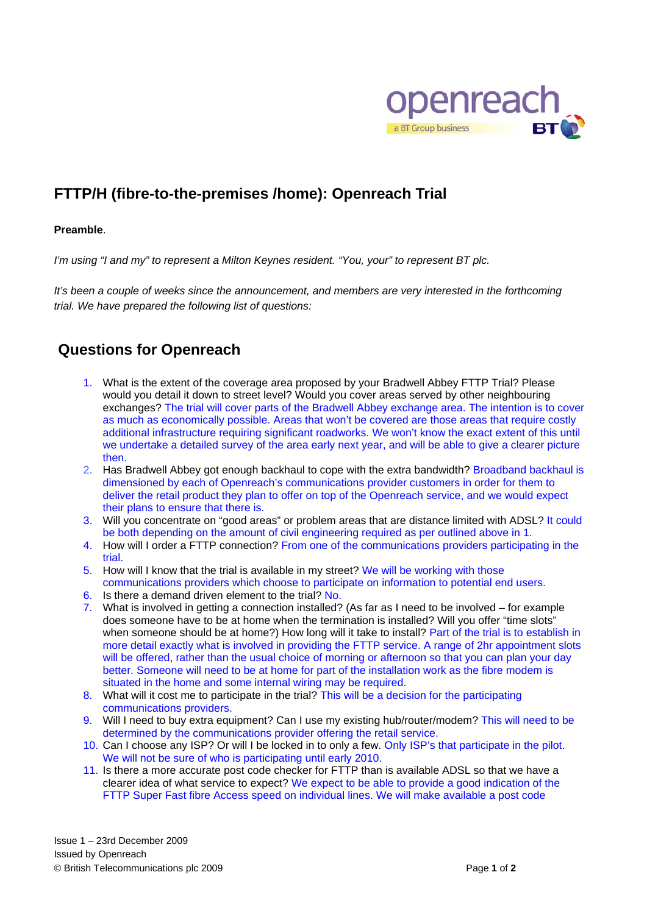

## **FTTP/H (fibre-to-the-premises /home): Openreach Trial**

## **Preamble**.

*I'm using "I and my" to represent a Milton Keynes resident. "You, your" to represent BT plc.* 

*It's been a couple of weeks since the announcement, and members are very interested in the forthcoming trial. We have prepared the following list of questions:* 

## **Questions for Openreach**

- 1. What is the extent of the coverage area proposed by your Bradwell Abbey FTTP Trial? Please would you detail it down to street level? Would you cover areas served by other neighbouring exchanges? The trial will cover parts of the Bradwell Abbey exchange area. The intention is to cover as much as economically possible. Areas that won't be covered are those areas that require costly additional infrastructure requiring significant roadworks. We won't know the exact extent of this until we undertake a detailed survey of the area early next year, and will be able to give a clearer picture then.
- 2. Has Bradwell Abbey got enough backhaul to cope with the extra bandwidth? Broadband backhaul is dimensioned by each of Openreach's communications provider customers in order for them to deliver the retail product they plan to offer on top of the Openreach service, and we would expect their plans to ensure that there is.
- 3. Will you concentrate on "good areas" or problem areas that are distance limited with ADSL? It could be both depending on the amount of civil engineering required as per outlined above in 1.
- 4. How will I order a FTTP connection? From one of the communications providers participating in the trial.
- 5. How will I know that the trial is available in my street? We will be working with those communications providers which choose to participate on information to potential end users.
- 6. Is there a demand driven element to the trial? No.
- 7. What is involved in getting a connection installed? (As far as I need to be involved for example does someone have to be at home when the termination is installed? Will you offer "time slots" when someone should be at home?) How long will it take to install? Part of the trial is to establish in more detail exactly what is involved in providing the FTTP service. A range of 2hr appointment slots will be offered, rather than the usual choice of morning or afternoon so that you can plan your day better. Someone will need to be at home for part of the installation work as the fibre modem is situated in the home and some internal wiring may be required.
- 8. What will it cost me to participate in the trial? This will be a decision for the participating communications providers.
- 9. Will I need to buy extra equipment? Can I use my existing hub/router/modem? This will need to be determined by the communications provider offering the retail service.
- 10. Can I choose any ISP? Or will I be locked in to only a few. Only ISP's that participate in the pilot. We will not be sure of who is participating until early 2010.
- 11. Is there a more accurate post code checker for FTTP than is available ADSL so that we have a clearer idea of what service to expect? We expect to be able to provide a good indication of the FTTP Super Fast fibre Access speed on individual lines. We will make available a post code